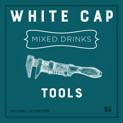# WHITE CAP MIXED DRINKS



## TOOLS

VOLUME 1 1st EDITION **\$5**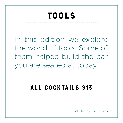### TOOLS

In this edition we explore the world of tools. Some of them helped build the bar you are seated at today.

### All Cocktails \$13

Illustrated by Lauren Linagen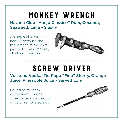### MONKEY WRENCH

Havana Club "Anejo Classico" Rum, Coconut, Seaweed, Lime - Slushy

An adjustable wrench, named because the movement of the lower jaw looks like a monkey climbing up a tree.



### SCREW DRIVER

Volstead Vodka, Tio Pepe "Fino" Sherry, Orange Juice, Pineapple Juice - Served Long

Found as far back as Medieval Europe, screwdrivers are used to drive or remove screws.

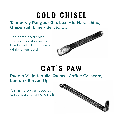### COLD Chisel

Tanqueray Rangpur Gin, Luxardo Maraschino, Grapefruit, Lime - Served Up

The name cold chisel comes from its use by blacksmiths to cut metal while it was cold.



### CAT'S PAW

Pueblo Viejo tequila, Quince, Coffee Casacara, Lemon - Served Up

A small crowbar used by carpenters to remove nails.

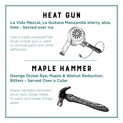### HEAT GUN

#### La Vida Mezcal, La Guitana Manzanilla sherry, aloe, lime - Served over ice

Like a super powered hair dryer, a heat gun is used to remove paint and other adhesives.



### MAPLE HAMMER

George Dickel Rye, Maple & Walnut Reduction, Bitters - Served Over a Cube

Maple handled hammers drive nails, forge metal, fit parts and break things apart.

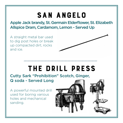### San Angelo

Apple Jack brandy, St. Germain Elderflower, St. Elizabeth Allspice Dram, Cardamom, Lemon - Served Up

A straight metal bar used to dig post holes or break up compacted dirt, rocks and ice.



Cutty Sark "Prohibition" Scotch, Ginger, Q soda - Served Long

A powerful mounted drill used for boring various holes and mechanical sanding.

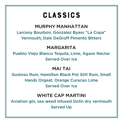### **CLASSICS**

### MURPHY MANHATTAN

Larceny Bourbon, Gonzalez Byass "La Copa" Vermouth, Dale DeGroff Pimento Bitters

### MARGARITA

Pueblo Viejo Blanco Tequila, Lime, Agave Nectar Served Over Ice

#### MAI TAI

Gustoso Rum, Hamilton Black Pot Still Rum, Small Hands Orgeat, Orange Curacao Lime Served Over Ice

#### WHITE CAP MARTINI

Aviation gin, sea weed infused Dolin dry vermouth Served Up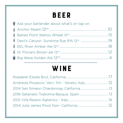### BEER

| Ask your bartender about what's on tap on. |  |
|--------------------------------------------|--|
|                                            |  |
|                                            |  |
|                                            |  |
|                                            |  |
|                                            |  |
|                                            |  |

### WINE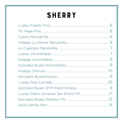### **SHERRY**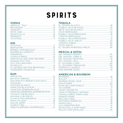### **SPIRITS**

#### **VODKA**

#### **GIN**

| MARTIN MILLERS WEST BOURNE13  |  |
|-------------------------------|--|
|                               |  |
|                               |  |
|                               |  |
| ST. GEORGE DRY RYE REPOSADO13 |  |
|                               |  |

#### **RUM**

| DIPI OMATICO RESERVA EXCUSIVA 15    |  |
|-------------------------------------|--|
|                                     |  |
|                                     |  |
|                                     |  |
|                                     |  |
| HAMII TON DEMERARA OVERPROOF RUM 12 |  |
|                                     |  |
|                                     |  |
|                                     |  |
|                                     |  |
|                                     |  |
|                                     |  |
| WRAY & NEPHEW (OVERPROOF)10         |  |

#### **TEQUILA**

| CHINACO ANEJO |
|---------------|
|               |
|               |
|               |

#### **MEZCAL & SOTOL**

#### **AMERICAN & BOURBON**

| 18 |
|----|
|    |
|    |
| 20 |
|    |
|    |
|    |
|    |
|    |
|    |
|    |
|    |
|    |
|    |
|    |
| 24 |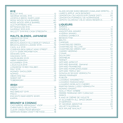#### **RYE**

| LEOPOLD BROS. MARYLAND14         |  |
|----------------------------------|--|
|                                  |  |
| MOSS WOOD APPLE BARREL40         |  |
|                                  |  |
|                                  |  |
|                                  |  |
| WILLETT 3YR RYE CASK STREGNTH 29 |  |

#### MALTS, BLENDS, JAPANESE

| BRUICHLADDICH ISLA BARLEY SINGLE 22 |  |
|-------------------------------------|--|
| BRUICHLADDICH LADDIE 10YR 19        |  |
|                                     |  |
| COMPASS BOX GREAT KING STREET1      |  |
|                                     |  |
|                                     |  |
|                                     |  |
|                                     |  |
|                                     |  |
|                                     |  |
|                                     |  |
|                                     |  |
|                                     |  |
|                                     |  |
|                                     |  |
|                                     |  |
|                                     |  |
|                                     |  |

#### 

| PISCO                           |  |
|---------------------------------|--|
| <b>ENCANTO BAR KEEPS WHIM14</b> |  |
|                                 |  |

#### **BRANDY & COGNAC**

| <b>GERMAIN ROBIN CRAFT METHOD18</b> |  |
|-------------------------------------|--|

| GLASS HOUSE SHISO BRANDY (OAKLAND SPIRITS)11 |  |
|----------------------------------------------|--|
|                                              |  |
| EMORTON CALVADOS 6YR (SINGE DIST)  20        |  |
|                                              |  |
| EPNTO OLOROSO VIEJO GRAN RESERVA12           |  |

#### **LIQUEURS**